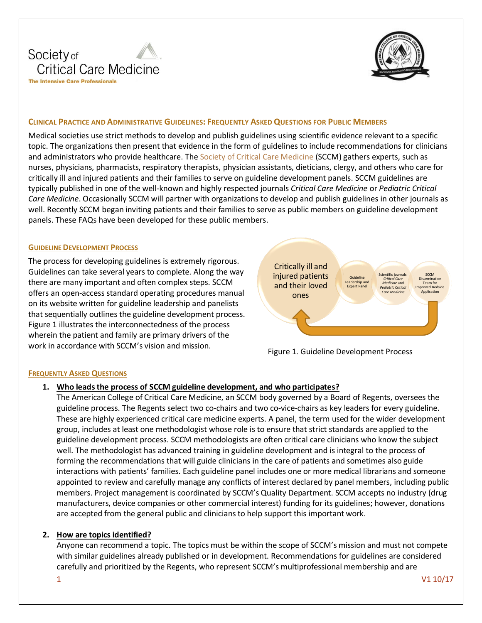



## **CLINICAL PRACTICE AND ADMINISTRATIVE GUIDELINES: FREQUENTLY ASKED QUESTIONS FOR PUBLIC MEMBERS**

Medical societies use strict methods to develop and publish guidelines using scientific evidence relevant to a specific topic. The organizations then present that evidence in the form of guidelines to include recommendations for clinicians and administrators who provide healthcare. The [Society of Critical Care Medicine](http://www.sccm.org/) (SCCM) gathers experts, such as nurses, physicians, pharmacists, respiratory therapists, physician assistants, dieticians, clergy, and others who care for critically ill and injured patients and their families to serve on guideline development panels. SCCM guidelines are typically published in one of the well-known and highly respected journals *Critical Care Medicine* or *Pediatric Critical Care Medicine*. Occasionally SCCM will partner with organizations to develop and publish guidelines in other journals as well. Recently SCCM began inviting patients and their families to serve as public members on guideline development panels. These FAQs have been developed for these public members.

#### **GUIDELINE DEVELOPMENT PROCESS**

The process for developing guidelines is extremely rigorous. Guidelines can take several years to complete. Along the way there are many important and often complex steps. SCCM offers an open-access standard operating procedures manual on its website written for guideline leadership and panelists that sequentially outlines the guideline development process. Figure 1 illustrates the interconnectedness of the process wherein the patient and family are primary drivers of the work in accordance with SCCM's vision and mission.





### **FREQUENTLY ASKED QUESTIONS**

## **1. Who leads the process of SCCM guideline development, and who participates?**

The American College of Critical Care Medicine, an SCCM body governed by a Board of Regents, oversees the guideline process. The Regents select two co-chairs and two co-vice-chairs as key leaders for every guideline. These are highly experienced critical care medicine experts. A panel, the term used for the wider development group, includes at least one methodologist whose role is to ensure that strict standards are applied to the guideline development process. SCCM methodologists are often critical care clinicians who know the subject well. The methodologist has advanced training in guideline development and is integral to the process of forming the recommendations that will guide clinicians in the care of patients and sometimes also guide interactions with patients' families. Each guideline panel includes one or more medical librarians and someone appointed to review and carefully manage any conflicts of interest declared by panel members, including public members. Project management is coordinated by SCCM's Quality Department. SCCM accepts no industry (drug manufacturers, device companies or other commercial interest) funding for its guidelines; however, donations are accepted from the general public and clinicians to help support this important work.

### **2. How are topics identified?**

Anyone can recommend a topic. The topics must be within the scope of SCCM's mission and must not compete with similar guidelines already published or in development. Recommendations for guidelines are considered carefully and prioritized by the Regents, who represent SCCM's multiprofessional membership and are